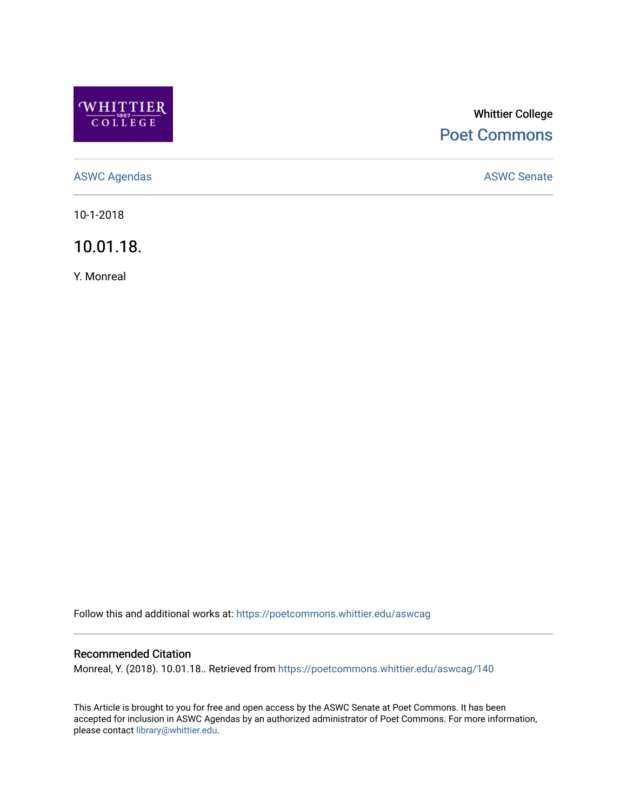

# Whittier College [Poet Commons](https://poetcommons.whittier.edu/)

[ASWC Agendas](https://poetcommons.whittier.edu/aswcag) **ASWC Senate** 

10-1-2018

10.01.18.

Y. Monreal

Follow this and additional works at: [https://poetcommons.whittier.edu/aswcag](https://poetcommons.whittier.edu/aswcag?utm_source=poetcommons.whittier.edu%2Faswcag%2F140&utm_medium=PDF&utm_campaign=PDFCoverPages) 

# Recommended Citation

Monreal, Y. (2018). 10.01.18.. Retrieved from [https://poetcommons.whittier.edu/aswcag/140](https://poetcommons.whittier.edu/aswcag/140?utm_source=poetcommons.whittier.edu%2Faswcag%2F140&utm_medium=PDF&utm_campaign=PDFCoverPages) 

This Article is brought to you for free and open access by the ASWC Senate at Poet Commons. It has been accepted for inclusion in ASWC Agendas by an authorized administrator of Poet Commons. For more information, please contact [library@whittier.edu](mailto:library@whittier.edu).